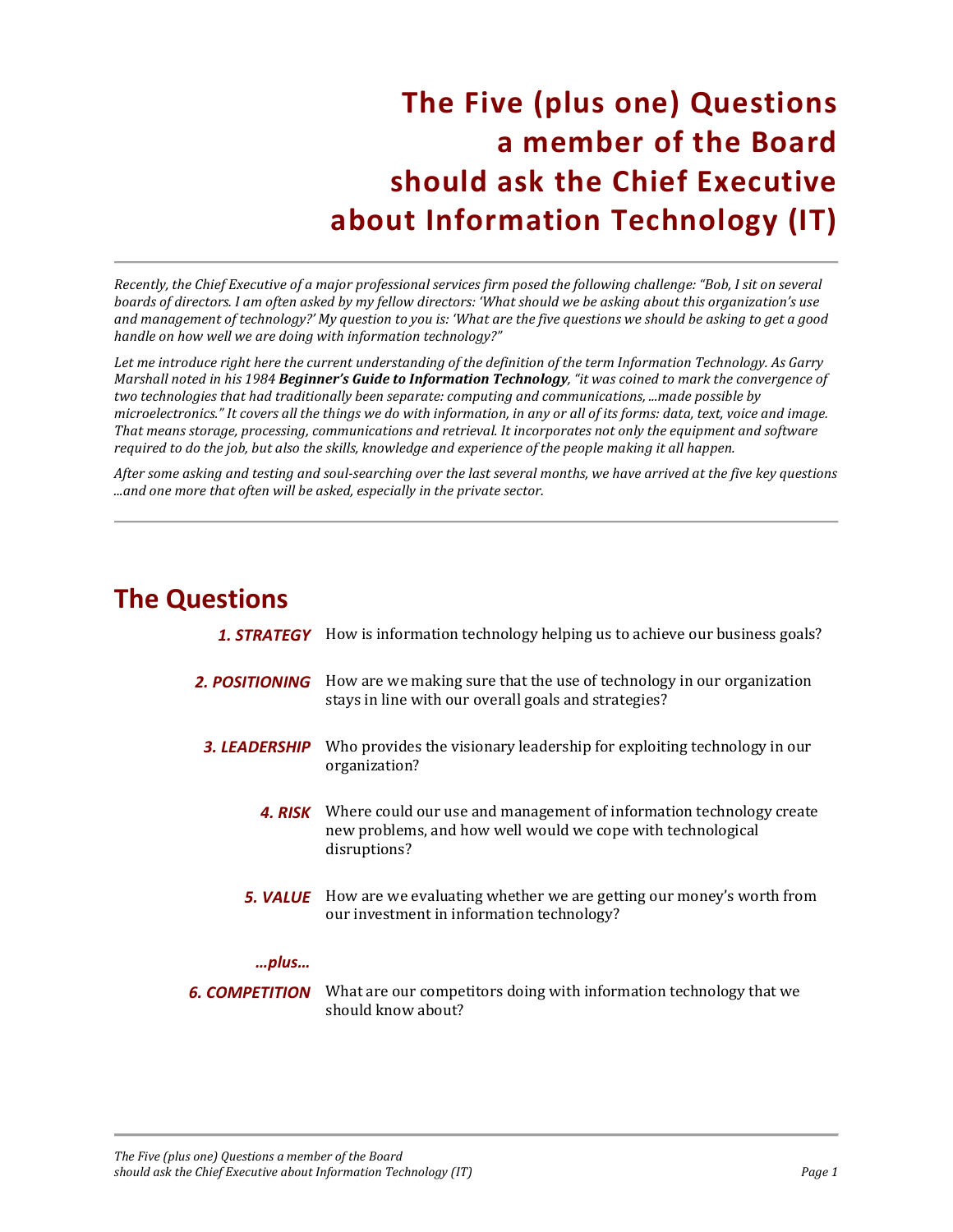## **The Five (plus one) Questions a member of the Board should ask the Chief Executive about Information Technology (IT)**

*Recently, the Chief Executive of a major professional services firm posed the following challenge: "Bob, I sit on several boards of directors. I am often asked by my fellow directors: 'What should we be asking about this organization's use and management of technology?' My question to you is: 'What are the five questions we should be asking to get a good handle on how well we are doing with information technology?"* 

*Let me introduce right here the current understanding of the definition of the term Information Technology. As Garry Marshall noted in his 1984 Beginner's Guide to Information Technology, "it was coined to mark the convergence of two technologies that had traditionally been separate: computing and communications, ...made possible by microelectronics." It covers all the things we do with information, in any or all of its forms: data, text, voice and image. That means storage, processing, communications and retrieval. It incorporates not only the equipment and software required to do the job, but also the skills, knowledge and experience of the people making it all happen.* 

*After some asking and testing and soul-searching over the last several months, we have arrived at the five key questions ...and one more that often will be asked, especially in the private sector.* 

### **The Questions**

|                             | <b>1. STRATEGY</b> How is information technology helping us to achieve our business goals?                                                                        |
|-----------------------------|-------------------------------------------------------------------------------------------------------------------------------------------------------------------|
| <b>2. POSITIONING</b>       | How are we making sure that the use of technology in our organization<br>stays in line with our overall goals and strategies?                                     |
| <i><b>3. LEADERSHIP</b></i> | Who provides the visionary leadership for exploiting technology in our<br>organization?                                                                           |
|                             | <b>4. RISK</b> Where could our use and management of information technology create<br>new problems, and how well would we cope with technological<br>disruptions? |
|                             | <b>5. VALUE</b> How are we evaluating whether we are getting our money's worth from<br>our investment in information technology?                                  |
| $$ plus                     |                                                                                                                                                                   |
| 6. COMPETITION              | What are our competitors doing with information technology that we<br>should know about?                                                                          |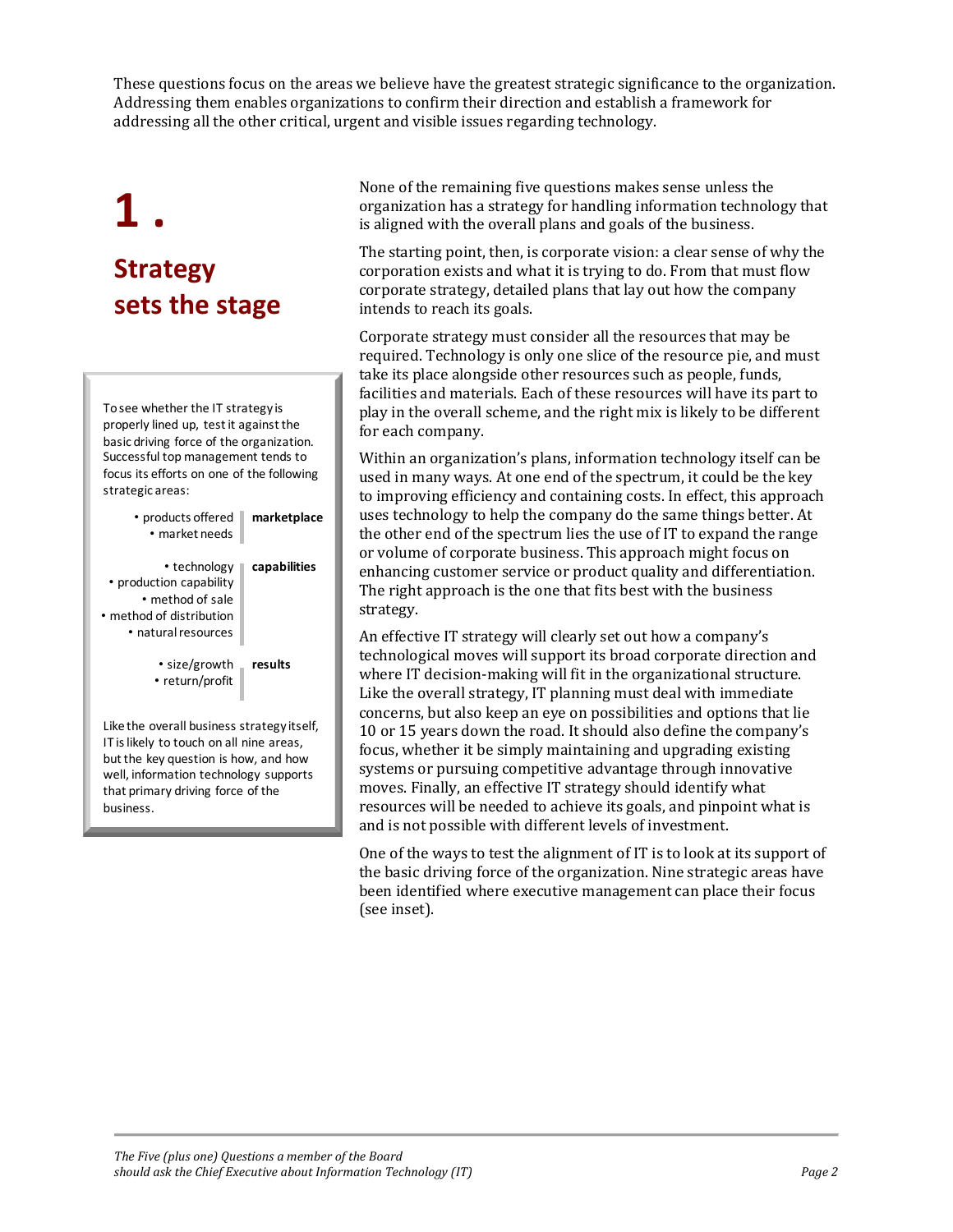These questions focus on the areas we believe have the greatest strategic significance to the organization. Addressing them enables organizations to confirm their direction and establish a framework for addressing all the other critical, urgent and visible issues regarding technology.

# **1 . Strategy sets the stage**

To see whether the IT strategy is properly lined up, test it against the basic driving force of the organization. Successful top management tends to focus its efforts on one of the following strategic areas:

| • products offered<br>• market needs                                                                                                                                                                         | marketplace  |
|--------------------------------------------------------------------------------------------------------------------------------------------------------------------------------------------------------------|--------------|
| • technology<br>• production capability<br>• method of sale<br>• method of distribution<br>• natural resources                                                                                               | capabilities |
| • size/growth<br>• return/profit                                                                                                                                                                             | results      |
| Like the overall business strategy itself,<br>IT is likely to touch on all nine areas,<br>but the key question is how, and how<br>well, information technology supports<br>that primary driving force of the |              |

business.

None of the remaining five questions makes sense unless the organization has a strategy for handling information technology that is aligned with the overall plans and goals of the business.

The starting point, then, is corporate vision: a clear sense of why the corporation exists and what it is trying to do. From that must flow corporate strategy, detailed plans that lay out how the company intends to reach its goals.

Corporate strategy must consider all the resources that may be required. Technology is only one slice of the resource pie, and must take its place alongside other resources such as people, funds, facilities and materials. Each of these resources will have its part to play in the overall scheme, and the right mix is likely to be different for each company.

Within an organization's plans, information technology itself can be used in many ways. At one end of the spectrum, it could be the key to improving efficiency and containing costs. In effect, this approach uses technology to help the company do the same things better. At the other end of the spectrum lies the use of IT to expand the range or volume of corporate business. This approach might focus on enhancing customer service or product quality and differentiation. The right approach is the one that fits best with the business strategy.

An effective IT strategy will clearly set out how a company's technological moves will support its broad corporate direction and where IT decision-making will fit in the organizational structure. Like the overall strategy, IT planning must deal with immediate concerns, but also keep an eye on possibilities and options that lie 10 or 15 years down the road. It should also define the company's focus, whether it be simply maintaining and upgrading existing systems or pursuing competitive advantage through innovative moves. Finally, an effective IT strategy should identify what resources will be needed to achieve its goals, and pinpoint what is and is not possible with different levels of investment.

One of the ways to test the alignment of IT is to look at its support of the basic driving force of the organization. Nine strategic areas have been identified where executive management can place their focus (see inset).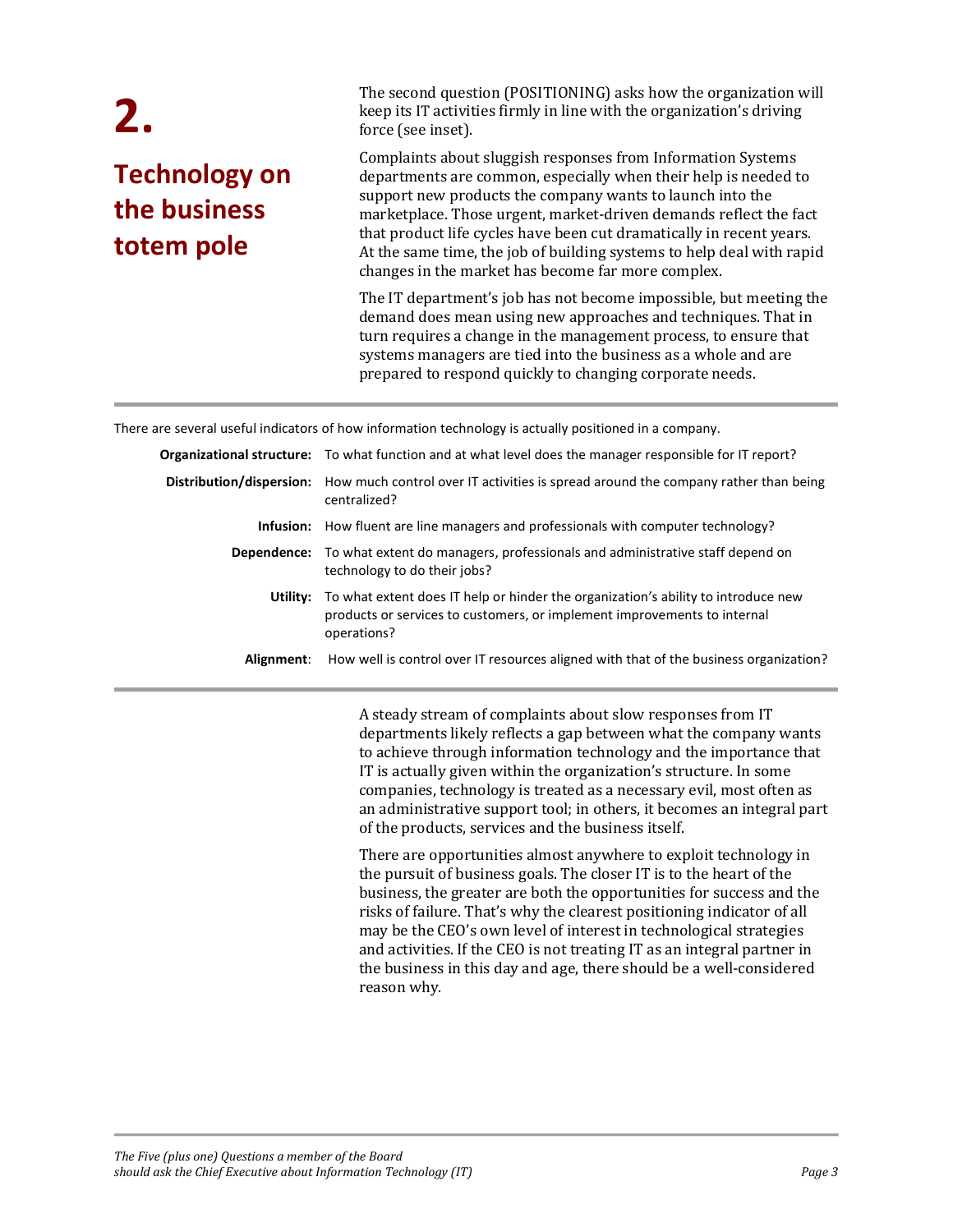## **2. Technology on the business totem pole**

The second question (POSITIONING) asks how the organization will keep its IT activities firmly in line with the organization's driving force (see inset).

Complaints about sluggish responses from Information Systems departments are common, especially when their help is needed to support new products the company wants to launch into the marketplace. Those urgent, market-driven demands reflect the fact that product life cycles have been cut dramatically in recent years. At the same time, the job of building systems to help deal with rapid changes in the market has become far more complex.

The IT department's job has not become impossible, but meeting the demand does mean using new approaches and techniques. That in turn requires a change in the management process, to ensure that systems managers are tied into the business as a whole and are prepared to respond quickly to changing corporate needs.

There are several useful indicators of how information technology is actually positioned in a company.

|            | <b>Organizational structure:</b> To what function and at what level does the manager responsible for IT report?                                                                       |
|------------|---------------------------------------------------------------------------------------------------------------------------------------------------------------------------------------|
|            | <b>Distribution/dispersion:</b> How much control over IT activities is spread around the company rather than being<br>centralized?                                                    |
|            | <b>Infusion:</b> How fluent are line managers and professionals with computer technology?                                                                                             |
|            | Dependence: To what extent do managers, professionals and administrative staff depend on<br>technology to do their jobs?                                                              |
|            | Utility: To what extent does IT help or hinder the organization's ability to introduce new<br>products or services to customers, or implement improvements to internal<br>operations? |
| Alignment: | How well is control over IT resources aligned with that of the business organization?                                                                                                 |

 A steady stream of complaints about slow responses from IT departments likely reflects a gap between what the company wants to achieve through information technology and the importance that IT is actually given within the organization's structure. In some companies, technology is treated as a necessary evil, most often as an administrative support tool; in others, it becomes an integral part of the products, services and the business itself.

There are opportunities almost anywhere to exploit technology in the pursuit of business goals. The closer IT is to the heart of the business, the greater are both the opportunities for success and the risks of failure. That's why the clearest positioning indicator of all may be the CEO's own level of interest in technological strategies and activities. If the CEO is not treating IT as an integral partner in the business in this day and age, there should be a well-considered reason why.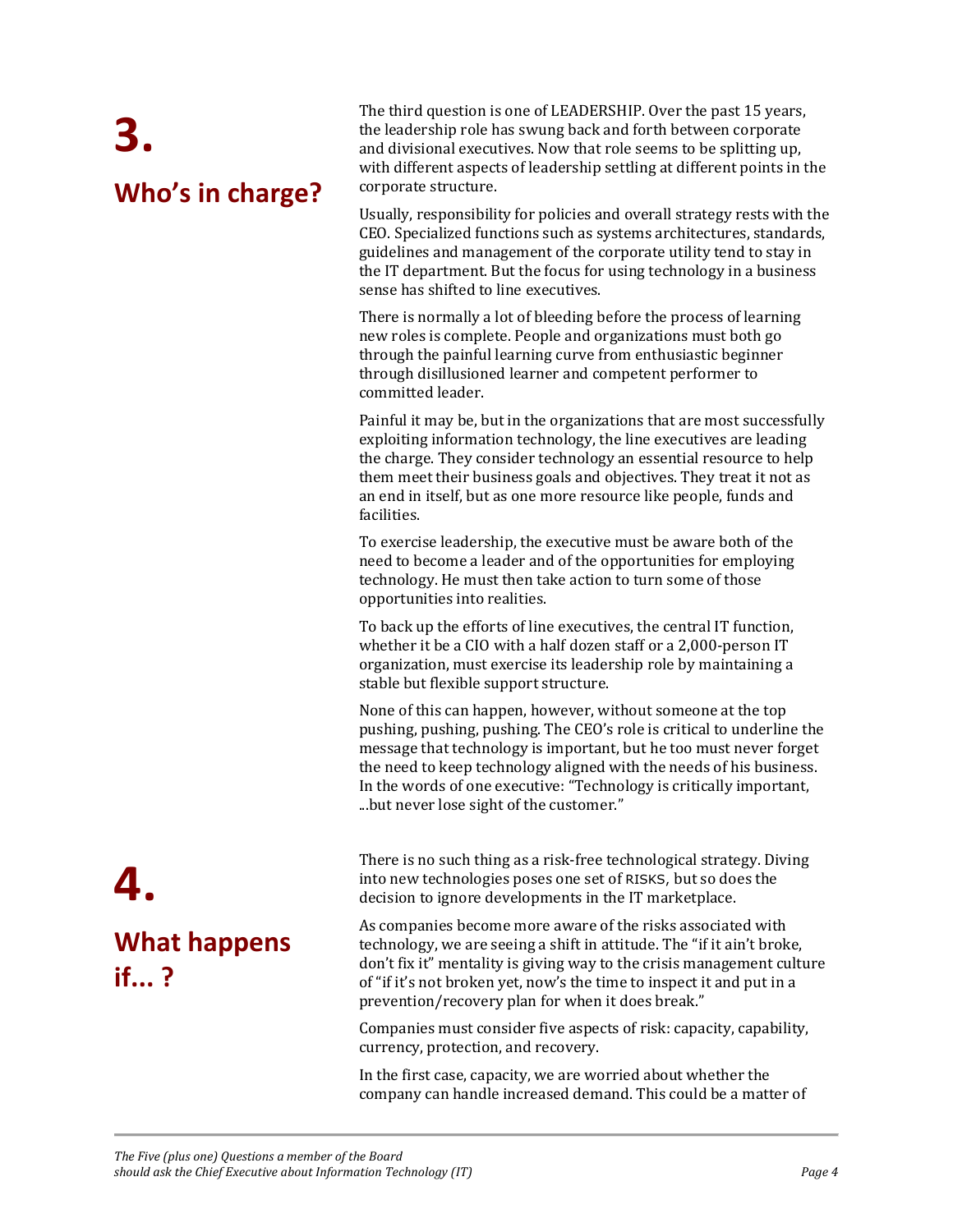# **3. Who's in charge?**

The third question is one of LEADERSHIP. Over the past 15 years, the leadership role has swung back and forth between corporate and divisional executives. Now that role seems to be splitting up, with different aspects of leadership settling at different points in the corporate structure.

Usually, responsibility for policies and overall strategy rests with the CEO. Specialized functions such as systems architectures, standards, guidelines and management of the corporate utility tend to stay in the IT department. But the focus for using technology in a business sense has shifted to line executives.

There is normally a lot of bleeding before the process of learning new roles is complete. People and organizations must both go through the painful learning curve from enthusiastic beginner through disillusioned learner and competent performer to committed leader.

Painful it may be, but in the organizations that are most successfully exploiting information technology, the line executives are leading the charge. They consider technology an essential resource to help them meet their business goals and objectives. They treat it not as an end in itself, but as one more resource like people, funds and facilities.

To exercise leadership, the executive must be aware both of the need to become a leader and of the opportunities for employing technology. He must then take action to turn some of those opportunities into realities.

To back up the efforts of line executives, the central IT function, whether it be a CIO with a half dozen staff or a 2,000-person IT organization, must exercise its leadership role by maintaining a stable but flexible support structure.

None of this can happen, however, without someone at the top pushing, pushing, pushing. The CEO's role is critical to underline the message that technology is important, but he too must never forget the need to keep technology aligned with the needs of his business. In the words of one executive: "Technology is critically important, ...but never lose sight of the customer."

There is no such thing as a risk-free technological strategy. Diving into new technologies poses one set of RISKS, but so does the decision to ignore developments in the IT marketplace.

As companies become more aware of the risks associated with technology, we are seeing a shift in attitude. The "if it ain't broke, don't fix it" mentality is giving way to the crisis management culture of "if it's not broken yet, now's the time to inspect it and put in a prevention/recovery plan for when it does break."

Companies must consider five aspects of risk: capacity, capability, currency, protection, and recovery.

In the first case, capacity, we are worried about whether the company can handle increased demand. This could be a matter of

**What happens if... ?** 

**4.**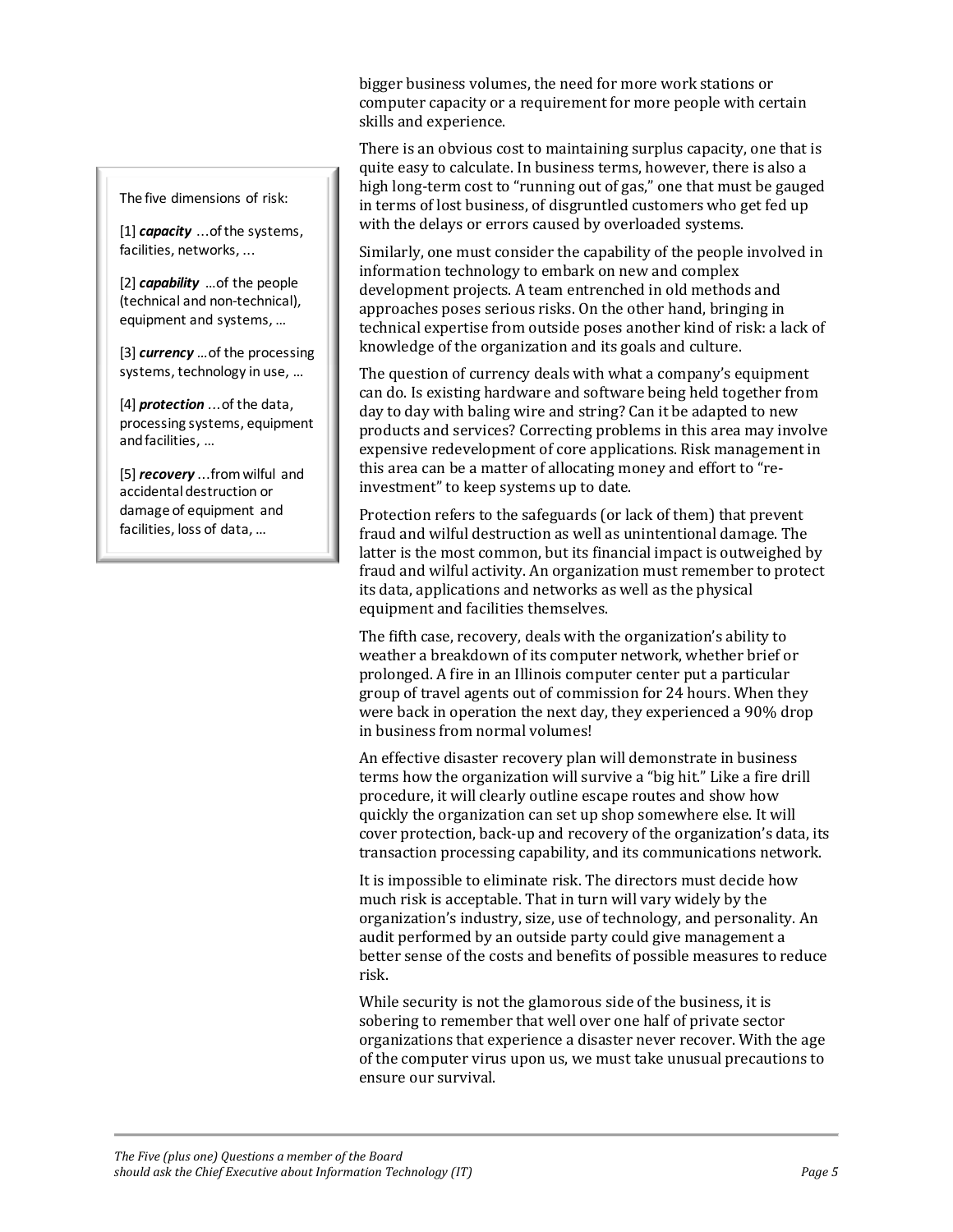#### The five dimensions of risk:

[1] *capacity* ...of the systems, facilities, networks, ...

[2] *capability* …of the people (technical and non-technical), equipment and systems, …

[3] *currency …*of the processing systems, technology in use, …

[4] *protection ...*of the data, processing systems, equipment and facilities, …

[5] *recovery* ...from wilful and accidental destruction or damage of equipment and facilities, loss of data, …

bigger business volumes, the need for more work stations or computer capacity or a requirement for more people with certain skills and experience.

There is an obvious cost to maintaining surplus capacity, one that is quite easy to calculate. In business terms, however, there is also a high long-term cost to "running out of gas," one that must be gauged in terms of lost business, of disgruntled customers who get fed up with the delays or errors caused by overloaded systems.

Similarly, one must consider the capability of the people involved in information technology to embark on new and complex development projects. A team entrenched in old methods and approaches poses serious risks. On the other hand, bringing in technical expertise from outside poses another kind of risk: a lack of knowledge of the organization and its goals and culture.

The question of currency deals with what a company's equipment can do. Is existing hardware and software being held together from day to day with baling wire and string? Can it be adapted to new products and services? Correcting problems in this area may involve expensive redevelopment of core applications. Risk management in this area can be a matter of allocating money and effort to "reinvestment" to keep systems up to date.

Protection refers to the safeguards (or lack of them) that prevent fraud and wilful destruction as well as unintentional damage. The latter is the most common, but its financial impact is outweighed by fraud and wilful activity. An organization must remember to protect its data, applications and networks as well as the physical equipment and facilities themselves.

The fifth case, recovery, deals with the organization's ability to weather a breakdown of its computer network, whether brief or prolonged. A fire in an Illinois computer center put a particular group of travel agents out of commission for 24 hours. When they were back in operation the next day, they experienced a 90% drop in business from normal volumes!

An effective disaster recovery plan will demonstrate in business terms how the organization will survive a "big hit." Like a fire drill procedure, it will clearly outline escape routes and show how quickly the organization can set up shop somewhere else. It will cover protection, back-up and recovery of the organization's data, its transaction processing capability, and its communications network.

It is impossible to eliminate risk. The directors must decide how much risk is acceptable. That in turn will vary widely by the organization's industry, size, use of technology, and personality. An audit performed by an outside party could give management a better sense of the costs and benefits of possible measures to reduce risk.

While security is not the glamorous side of the business, it is sobering to remember that well over one half of private sector organizations that experience a disaster never recover. With the age of the computer virus upon us, we must take unusual precautions to ensure our survival.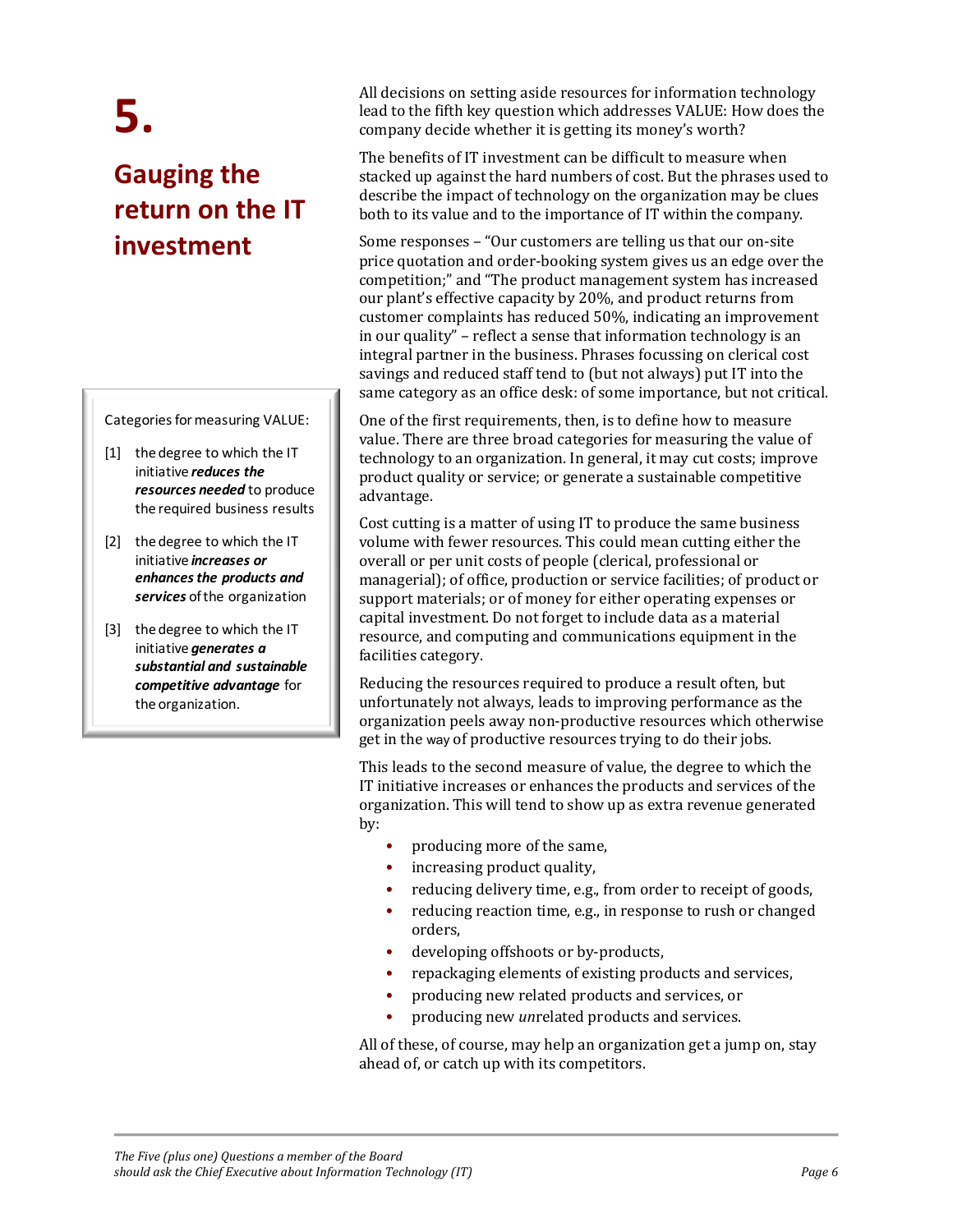# **5.**

## **Gauging the return on the IT investment**

Categories for measuring VALUE:

- [1] the degree to which the IT initiative *reduces the resources needed* to produce the required business results
- [2] the degree to which the IT initiative *increases or enhances the products and services* of the organization
- [3] the degree to which the IT initiative *generates a substantial and sustainable competitive advantage* for the organization.

All decisions on setting aside resources for information technology lead to the fifth key question which addresses VALUE: How does the company decide whether it is getting its money's worth?

The benefits of IT investment can be difficult to measure when stacked up against the hard numbers of cost. But the phrases used to describe the impact of technology on the organization may be clues both to its value and to the importance of IT within the company.

Some responses – "Our customers are telling us that our on-site price quotation and order-booking system gives us an edge over the competition;" and "The product management system has increased our plant's effective capacity by 20%, and product returns from customer complaints has reduced 50%, indicating an improvement in our quality" – reflect a sense that information technology is an integral partner in the business. Phrases focussing on clerical cost savings and reduced staff tend to (but not always) put IT into the same category as an office desk: of some importance, but not critical.

One of the first requirements, then, is to define how to measure value. There are three broad categories for measuring the value of technology to an organization. In general, it may cut costs; improve product quality or service; or generate a sustainable competitive advantage.

Cost cutting is a matter of using IT to produce the same business volume with fewer resources. This could mean cutting either the overall or per unit costs of people (clerical, professional or managerial); of office, production or service facilities; of product or support materials; or of money for either operating expenses or capital investment. Do not forget to include data as a material resource, and computing and communications equipment in the facilities category.

Reducing the resources required to produce a result often, but unfortunately not always, leads to improving performance as the organization peels away non-productive resources which otherwise get in the way of productive resources trying to do their jobs.

This leads to the second measure of value, the degree to which the IT initiative increases or enhances the products and services of the organization. This will tend to show up as extra revenue generated by:

- producing more of the same,
- increasing product quality,
- reducing delivery time, e.g., from order to receipt of goods,
- reducing reaction time, e.g., in response to rush or changed orders,
- developing offshoots or by-products,
- repackaging elements of existing products and services,
- producing new related products and services, or
- producing new *un*related products and services.

All of these, of course, may help an organization get a jump on, stay ahead of, or catch up with its competitors.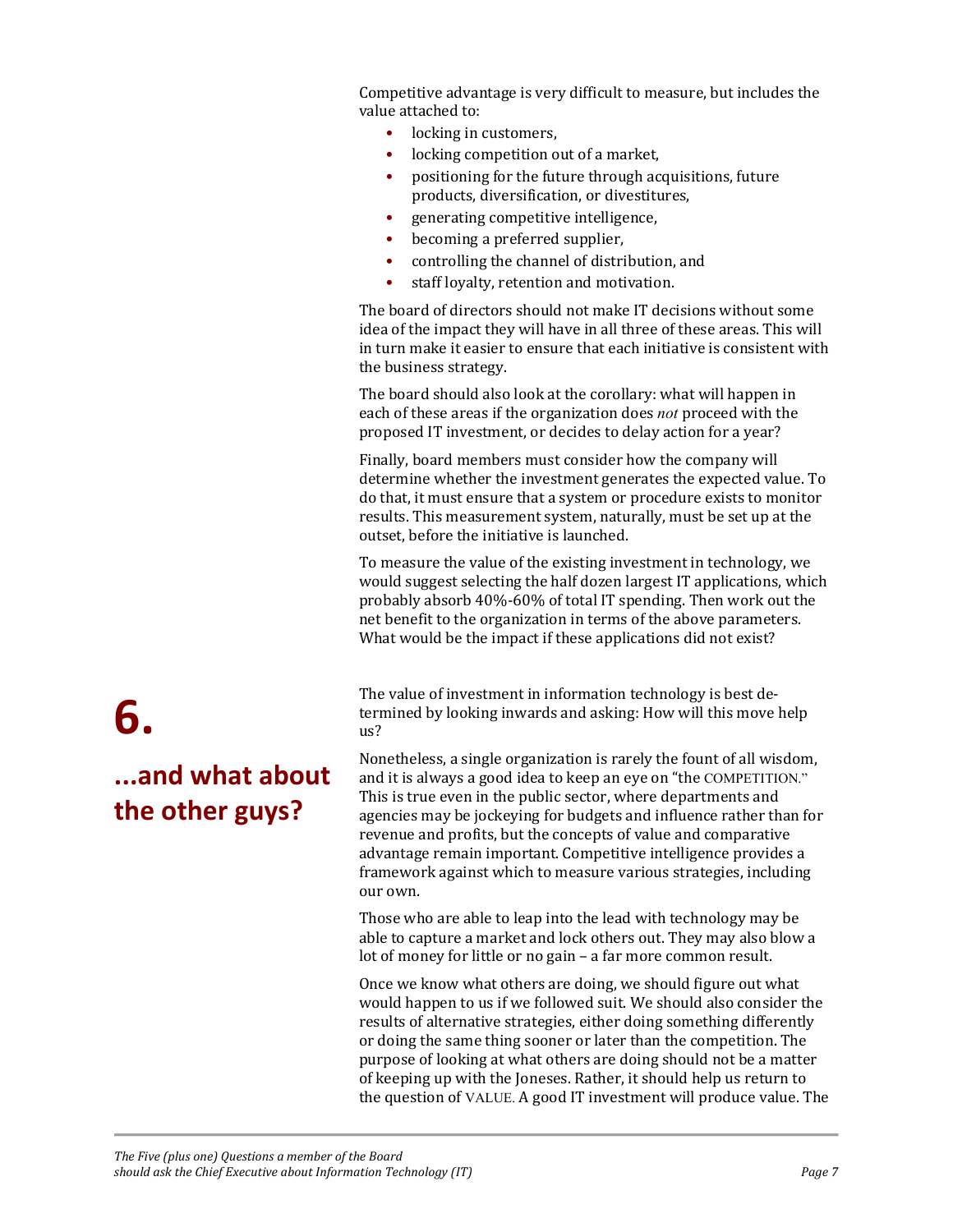Competitive advantage is very difficult to measure, but includes the value attached to:

- locking in customers,
- locking competition out of a market,
- positioning for the future through acquisitions, future products, diversification, or divestitures,
- generating competitive intelligence,
- becoming a preferred supplier,
- controlling the channel of distribution, and
- staff loyalty, retention and motivation.

The board of directors should not make IT decisions without some idea of the impact they will have in all three of these areas. This will in turn make it easier to ensure that each initiative is consistent with the business strategy.

The board should also look at the corollary: what will happen in each of these areas if the organization does *not* proceed with the proposed IT investment, or decides to delay action for a year?

Finally, board members must consider how the company will determine whether the investment generates the expected value. To do that, it must ensure that a system or procedure exists to monitor results. This measurement system, naturally, must be set up at the outset, before the initiative is launched.

To measure the value of the existing investment in technology, we would suggest selecting the half dozen largest IT applications, which probably absorb 40%-60% of total IT spending. Then work out the net benefit to the organization in terms of the above parameters. What would be the impact if these applications did not exist?

The value of investment in information technology is best determined by looking inwards and asking: How will this move help us?

Nonetheless, a single organization is rarely the fount of all wisdom, and it is always a good idea to keep an eye on "the COMPETITION." This is true even in the public sector, where departments and agencies may be jockeying for budgets and influence rather than for revenue and profits, but the concepts of value and comparative advantage remain important. Competitive intelligence provides a framework against which to measure various strategies, including our own.

Those who are able to leap into the lead with technology may be able to capture a market and lock others out. They may also blow a lot of money for little or no gain – a far more common result.

Once we know what others are doing, we should figure out what would happen to us if we followed suit. We should also consider the results of alternative strategies, either doing something differently or doing the same thing sooner or later than the competition. The purpose of looking at what others are doing should not be a matter of keeping up with the Joneses. Rather, it should help us return to the question of VALUE. A good IT investment will produce value. The

# **6. ...and what about the other guys?**